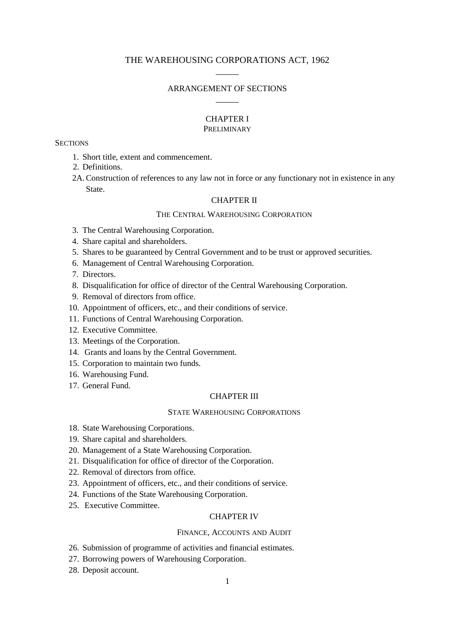# THE WAREHOUSING CORPORATIONS ACT, 1962  $\overline{\phantom{a}}$

# ARRANGEMENT OF SECTIONS  $\overline{\phantom{a}}$

# CHAPTER I

# PRELIMINARY

#### **SECTIONS**

- 1. Short title, extent and commencement.
- 2. Definitions.
- 2A.Construction of references to any law not in force or any functionary not in existence in any State.

## CHAPTER II

## THE CENTRAL WAREHOUSING CORPORATION

- 3. The Central Warehousing Corporation.
- 4. Share capital and shareholders.
- 5. Shares to be guaranteed by Central Government and to be trust or approved securities.
- 6. Management of Central Warehousing Corporation.
- 7. Directors.
- 8. Disqualification for office of director of the Central Warehousing Corporation.
- 9. Removal of directors from office.
- 10. Appointment of officers, etc., and their conditions of service.
- 11. Functions of Central Warehousing Corporation.
- 12. Executive Committee.
- 13. Meetings of the Corporation.
- 14. Grants and loans by the Central Government.
- 15. Corporation to maintain two funds.
- 16. Warehousing Fund.
- 17. General Fund.

### CHAPTER III

# STATE WAREHOUSING CORPORATIONS

- 18. State Warehousing Corporations.
- 19. Share capital and shareholders.
- 20. Management of a State Warehousing Corporation.
- 21. Disqualification for office of director of the Corporation.
- 22. Removal of directors from office.
- 23. Appointment of officers, etc., and their conditions of service.
- 24. Functions of the State Warehousing Corporation.
- 25. Executive Committee.

## CHAPTER IV

#### FINANCE, ACCOUNTS AND AUDIT

- 26. Submission of programme of activities and financial estimates.
- 27. Borrowing powers of Warehousing Corporation.
- 28. Deposit account.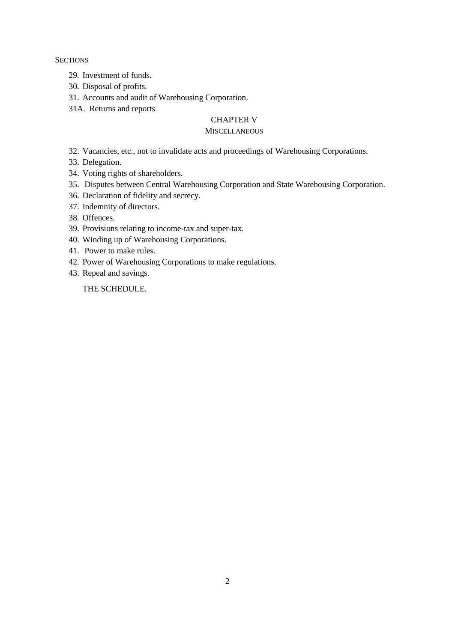**SECTIONS** 

- 29. Investment of funds.
- 30. Disposal of profits.
- 31. Accounts and audit of Warehousing Corporation.
- 31A. Returns and reports.

# CHAPTER V

## **MISCELLANEOUS**

- 32. Vacancies, etc., not to invalidate acts and proceedings of Warehousing Corporations.
- 33. Delegation.
- 34. Voting rights of shareholders.
- 35. Disputes between Central Warehousing Corporation and State Warehousing Corporation.
- 36. Declaration of fidelity and secrecy.
- 37. Indemnity of directors.
- 38. Offences.
- 39. Provisions relating to income-tax and super-tax.
- 40. Winding up of Warehousing Corporations.
- 41. Power to make rules.
- 42. Power of Warehousing Corporations to make regulations.
- 43. Repeal and savings.

THE SCHEDULE.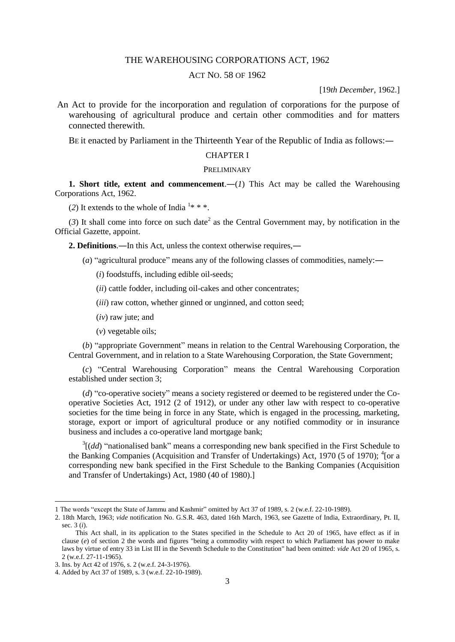## THE WAREHOUSING CORPORATIONS ACT, 1962

## ACT NO. 58 OF 1962

[19*th December*, 1962.]

An Act to provide for the incorporation and regulation of corporations for the purpose of warehousing of agricultural produce and certain other commodities and for matters connected therewith.

BE it enacted by Parliament in the Thirteenth Year of the Republic of India as follows:—

## CHAPTER I

#### **PRELIMINARY**

**1. Short title, extent and commencement.**—(*I*) This Act may be called the Warehousing Corporations Act, 1962.

(2) It extends to the whole of India  $1**$ .

 $(3)$  It shall come into force on such date<sup>2</sup> as the Central Government may, by notification in the Official Gazette, appoint.

**2. Definitions**.―In this Act, unless the context otherwise requires,―

- (*a*) "agricultural produce" means any of the following classes of commodities, namely:―
	- (*i*) foodstuffs, including edible oil-seeds;
	- (*ii*) cattle fodder, including oil-cakes and other concentrates;
	- (*iii*) raw cotton, whether ginned or unginned, and cotton seed;
	- (*iv*) raw jute; and
	- (*v*) vegetable oils;

(*b*) "appropriate Government" means in relation to the Central Warehousing Corporation, the Central Government, and in relation to a State Warehousing Corporation, the State Government;

(*c*) "Central Warehousing Corporation" means the Central Warehousing Corporation established under section 3;

(*d*) "co-operative society" means a society registered or deemed to be registered under the Cooperative Societies Act, 1912 (2 of 1912), or under any other law with respect to co-operative societies for the time being in force in any State, which is engaged in the processing, marketing, storage, export or import of agricultural produce or any notified commodity or in insurance business and includes a co-operative land mortgage bank;

 $3[(dd)$  "nationalised bank" means a corresponding new bank specified in the First Schedule to the Banking Companies (Acquisition and Transfer of Undertakings) Act, 1970 (5 of 1970); <sup>4</sup>[or a corresponding new bank specified in the First Schedule to the Banking Companies (Acquisition and Transfer of Undertakings) Act, 1980 (40 of 1980).]

<sup>1</sup> The words "except the State of Jammu and Kashmir" omitted by Act 37 of 1989, s. 2 (w.e.f. 22-10-1989).

<sup>2. 18</sup>th March, 1963; *vide* notification No. G.S.R. 463, dated 16th March, 1963, see Gazette of India, Extraordinary, Pt. II, sec. 3 (*i*).

This Act shall, in its application to the States specified in the Schedule to Act 20 of 1965, have effect as if in clause (*e*) of section 2 the words and figures "being a commodity with respect to which Parliament has power to make laws by virtue of entry 33 in List III in the Seventh Schedule to the Constitution" had been omitted: *vide* Act 20 of 1965, s. 2 (w.e.f. 27-11-1965).

<sup>3.</sup> Ins. by Act 42 of 1976, s. 2 (w.e.f. 24-3-1976).

<sup>4.</sup> Added by Act 37 of 1989, s. 3 (w.e.f. 22-10-1989).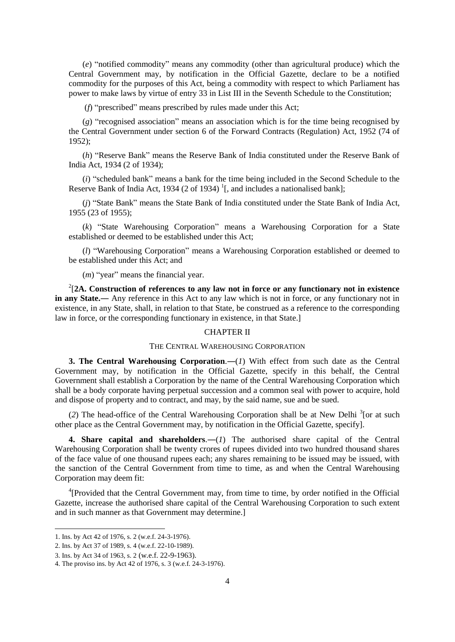(*e*) "notified commodity" means any commodity (other than agricultural produce) which the Central Government may, by notification in the Official Gazette, declare to be a notified commodity for the purposes of this Act, being a commodity with respect to which Parliament has power to make laws by virtue of entry 33 in List III in the Seventh Schedule to the Constitution;

(*f*) "prescribed" means prescribed by rules made under this Act;

(*g*) "recognised association" means an association which is for the time being recognised by the Central Government under section 6 of the Forward Contracts (Regulation) Act, 1952 (74 of 1952);

(*h*) "Reserve Bank" means the Reserve Bank of India constituted under the Reserve Bank of India Act, 1934 (2 of 1934);

(*i*) "scheduled bank" means a bank for the time being included in the Second Schedule to the Reserve Bank of India Act, 1934 (2 of 1934)<sup>1</sup>[, and includes a nationalised bank];

(*j*) "State Bank" means the State Bank of India constituted under the State Bank of India Act, 1955 (23 of 1955);

(*k*) "State Warehousing Corporation" means a Warehousing Corporation for a State established or deemed to be established under this Act;

(*l*) "Warehousing Corporation" means a Warehousing Corporation established or deemed to be established under this Act; and

(*m*) "year" means the financial year.

2 [**2A. Construction of references to any law not in force or any functionary not in existence in any State.**— Any reference in this Act to any law which is not in force, or any functionary not in existence, in any State, shall, in relation to that State, be construed as a reference to the corresponding law in force, or the corresponding functionary in existence, in that State.]

#### CHAPTER II

## THE CENTRAL WAREHOUSING CORPORATION

**3. The Central Warehousing Corporation.**—(*1*) With effect from such date as the Central Government may, by notification in the Official Gazette, specify in this behalf, the Central Government shall establish a Corporation by the name of the Central Warehousing Corporation which shall be a body corporate having perpetual succession and a common seal with power to acquire, hold and dispose of property and to contract, and may, by the said name, sue and be sued.

(2) The head-office of the Central Warehousing Corporation shall be at New Delhi<sup>3</sup> [or at such other place as the Central Government may, by notification in the Official Gazette, specify].

**4. Share capital and shareholders**.―(*1*) The authorised share capital of the Central Warehousing Corporation shall be twenty crores of rupees divided into two hundred thousand shares of the face value of one thousand rupees each; any shares remaining to be issued may be issued, with the sanction of the Central Government from time to time, as and when the Central Warehousing Corporation may deem fit:

<sup>4</sup>[Provided that the Central Government may, from time to time, by order notified in the Official Gazette, increase the authorised share capital of the Central Warehousing Corporation to such extent and in such manner as that Government may determine.]

<sup>1.</sup> Ins. by Act 42 of 1976, s. 2 (w.e.f. 24-3-1976).

<sup>2.</sup> Ins. by Act 37 of 1989, s. 4 (w.e.f. 22-10-1989).

<sup>3.</sup> Ins. by Act 34 of 1963, s. 2 (w.e.f. 22-9-1963).

<sup>4.</sup> The proviso ins. by Act 42 of 1976, s. 3 (w.e.f. 24-3-1976).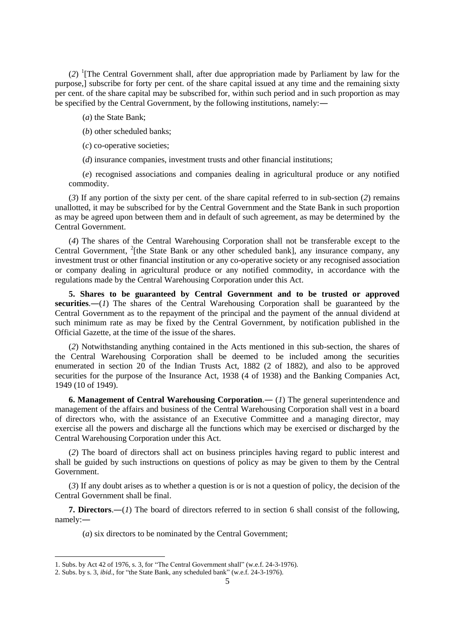(*2*) <sup>1</sup> [The Central Government shall, after due appropriation made by Parliament by law for the purpose,] subscribe for forty per cent. of the share capital issued at any time and the remaining sixty per cent. of the share capital may be subscribed for, within such period and in such proportion as may be specified by the Central Government, by the following institutions, namely:―

(*a*) the State Bank;

(*b*) other scheduled banks;

(*c*) co-operative societies;

(*d*) insurance companies, investment trusts and other financial institutions;

(*e*) recognised associations and companies dealing in agricultural produce or any notified commodity.

(*3*) If any portion of the sixty per cent. of the share capital referred to in sub-section (*2*) remains unallotted, it may be subscribed for by the Central Government and the State Bank in such proportion as may be agreed upon between them and in default of such agreement, as may be determined by the Central Government.

(*4*) The shares of the Central Warehousing Corporation shall not be transferable except to the Central Government, <sup>2</sup>[the State Bank or any other scheduled bank], any insurance company, any investment trust or other financial institution or any co-operative society or any recognised association or company dealing in agricultural produce or any notified commodity, in accordance with the regulations made by the Central Warehousing Corporation under this Act.

**5. Shares to be guaranteed by Central Government and to be trusted or approved securities**.―(*1*) The shares of the Central Warehousing Corporation shall be guaranteed by the Central Government as to the repayment of the principal and the payment of the annual dividend at such minimum rate as may be fixed by the Central Government, by notification published in the Official Gazette, at the time of the issue of the shares.

(*2*) Notwithstanding anything contained in the Acts mentioned in this sub-section, the shares of the Central Warehousing Corporation shall be deemed to be included among the securities enumerated in section 20 of the Indian Trusts Act, 1882 (2 of 1882), and also to be approved securities for the purpose of the Insurance Act, 1938 (4 of 1938) and the Banking Companies Act, 1949 (10 of 1949).

**6. Management of Central Warehousing Corporation**.― (*1*) The general superintendence and management of the affairs and business of the Central Warehousing Corporation shall vest in a board of directors who, with the assistance of an Executive Committee and a managing director, may exercise all the powers and discharge all the functions which may be exercised or discharged by the Central Warehousing Corporation under this Act.

(*2*) The board of directors shall act on business principles having regard to public interest and shall be guided by such instructions on questions of policy as may be given to them by the Central Government.

(*3*) If any doubt arises as to whether a question is or is not a question of policy, the decision of the Central Government shall be final.

**7. Directors**.―(*1*) The board of directors referred to in section 6 shall consist of the following, namely:―

(*a*) six directors to be nominated by the Central Government;

<sup>1.</sup> Subs. by Act 42 of 1976, s. 3, for "The Central Government shall" (w.e.f. 24-3-1976). 2. Subs. by s. 3, *ibid*., for "the State Bank, any scheduled bank" (w.e.f. 24-3-1976).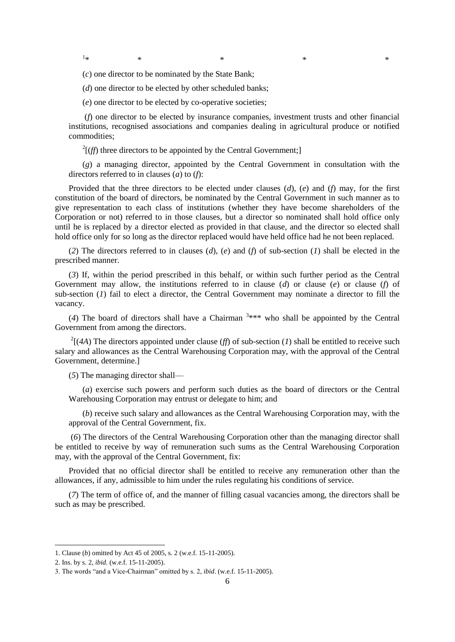$1_{\ast}$  $*$   $*$   $*$   $*$   $*$   $*$ 

(*c*) one director to be nominated by the State Bank;

(*d*) one director to be elected by other scheduled banks;

(*e*) one director to be elected by co-operative societies;

(*f*) one director to be elected by insurance companies, investment trusts and other financial institutions, recognised associations and companies dealing in agricultural produce or notified commodities;

 $2^2$ [*(ff*) three directors to be appointed by the Central Government;]

(*g*) a managing director, appointed by the Central Government in consultation with the directors referred to in clauses (*a*) to (*f*):

Provided that the three directors to be elected under clauses (*d*), (*e*) and (*f*) may, for the first constitution of the board of directors, be nominated by the Central Government in such manner as to give representation to each class of institutions (whether they have become shareholders of the Corporation or not) referred to in those clauses, but a director so nominated shall hold office only until he is replaced by a director elected as provided in that clause, and the director so elected shall hold office only for so long as the director replaced would have held office had he not been replaced.

(*2*) The directors referred to in clauses (*d*), (*e*) and (*f*) of sub-section (*1*) shall be elected in the prescribed manner.

(*3*) If, within the period prescribed in this behalf, or within such further period as the Central Government may allow, the institutions referred to in clause (*d*) or clause (*e*) or clause (*f*) of sub-section (*1*) fail to elect a director, the Central Government may nominate a director to fill the vacancy.

(4) The board of directors shall have a Chairman  $3***$  who shall be appointed by the Central Government from among the directors.

 $^{2}$ [(4A) The directors appointed under clause (*ff*) of sub-section (*1*) shall be entitled to receive such salary and allowances as the Central Warehousing Corporation may, with the approval of the Central Government, determine.]

(*5*) The managing director shall—

(*a*) exercise such powers and perform such duties as the board of directors or the Central Warehousing Corporation may entrust or delegate to him; and

(*b*) receive such salary and allowances as the Central Warehousing Corporation may, with the approval of the Central Government, fix.

(*6*) The directors of the Central Warehousing Corporation other than the managing director shall be entitled to receive by way of remuneration such sums as the Central Warehousing Corporation may, with the approval of the Central Government, fix:

Provided that no official director shall be entitled to receive any remuneration other than the allowances, if any, admissible to him under the rules regulating his conditions of service.

(*7*) The term of office of, and the manner of filling casual vacancies among, the directors shall be such as may be prescribed.

<sup>1.</sup> Clause (*b*) omitted by Act 45 of 2005, s. 2 (w.e.f. 15-11-2005).

<sup>2.</sup> Ins. by s. 2, *ibid*. (w.e.f. 15-11-2005).

<sup>3.</sup> The words "and a Vice-Chairman" omitted by s. 2, *ibid*. (w.e.f. 15-11-2005).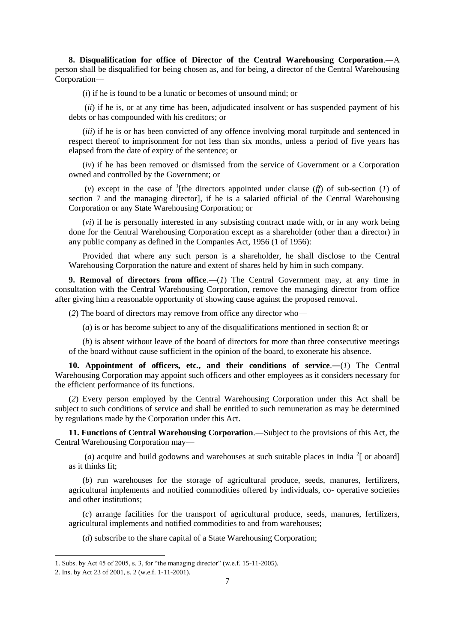**8. Disqualification for office of Director of the Central Warehousing Corporation**.―A person shall be disqualified for being chosen as, and for being, a director of the Central Warehousing Corporation—

(*i*) if he is found to be a lunatic or becomes of unsound mind; or

(*ii*) if he is, or at any time has been, adjudicated insolvent or has suspended payment of his debts or has compounded with his creditors; or

(*iii*) if he is or has been convicted of any offence involving moral turpitude and sentenced in respect thereof to imprisonment for not less than six months, unless a period of five years has elapsed from the date of expiry of the sentence; or

(*iv*) if he has been removed or dismissed from the service of Government or a Corporation owned and controlled by the Government; or

(*v*) except in the case of <sup>1</sup>[the directors appointed under clause (*ff*) of sub-section (*1*) of section 7 and the managing director], if he is a salaried official of the Central Warehousing Corporation or any State Warehousing Corporation; or

(*vi*) if he is personally interested in any subsisting contract made with, or in any work being done for the Central Warehousing Corporation except as a shareholder (other than a director) in any public company as defined in the Companies Act, 1956 (1 of 1956):

Provided that where any such person is a shareholder, he shall disclose to the Central Warehousing Corporation the nature and extent of shares held by him in such company.

**9. Removal of directors from office.**—(*1*) The Central Government may, at any time in consultation with the Central Warehousing Corporation, remove the managing director from office after giving him a reasonable opportunity of showing cause against the proposed removal.

(*2*) The board of directors may remove from office any director who—

(*a*) is or has become subject to any of the disqualifications mentioned in section 8; or

(*b*) is absent without leave of the board of directors for more than three consecutive meetings of the board without cause sufficient in the opinion of the board, to exonerate his absence.

**10. Appointment of officers, etc., and their conditions of service**.―(*1*) The Central Warehousing Corporation may appoint such officers and other employees as it considers necessary for the efficient performance of its functions.

(*2*) Every person employed by the Central Warehousing Corporation under this Act shall be subject to such conditions of service and shall be entitled to such remuneration as may be determined by regulations made by the Corporation under this Act.

**11. Functions of Central Warehousing Corporation**.―Subject to the provisions of this Act, the Central Warehousing Corporation may—

(*a*) acquire and build godowns and warehouses at such suitable places in India  $2$ [ or aboard] as it thinks fit;

(*b*) run warehouses for the storage of agricultural produce, seeds, manures, fertilizers, agricultural implements and notified commodities offered by individuals, co- operative societies and other institutions;

(*c*) arrange facilities for the transport of agricultural produce, seeds, manures, fertilizers, agricultural implements and notified commodities to and from warehouses;

(*d*) subscribe to the share capital of a State Warehousing Corporation;

<sup>1.</sup> Subs. by Act 45 of 2005, s. 3, for "the managing director" (w.e.f. 15-11-2005).

<sup>2.</sup> Ins. by Act 23 of 2001, s. 2 (w.e.f. 1-11-2001).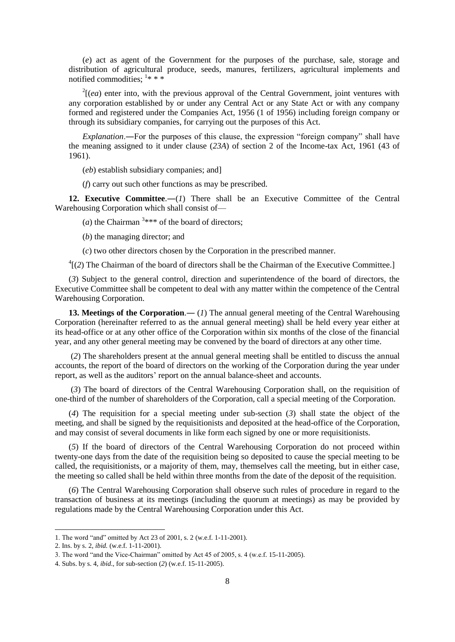(*e*) act as agent of the Government for the purposes of the purchase, sale, storage and distribution of agricultural produce, seeds, manures, fertilizers, agricultural implements and notified commodities;  $1**$ 

 $2\mu$  enter into, with the previous approval of the Central Government, joint ventures with any corporation established by or under any Central Act or any State Act or with any company formed and registered under the Companies Act, 1956 (1 of 1956) including foreign company or through its subsidiary companies, for carrying out the purposes of this Act.

*Explanation*.―For the purposes of this clause, the expression "foreign company" shall have the meaning assigned to it under clause (*23A*) of section 2 of the Income-tax Act, 1961 (43 of 1961).

(*eb*) establish subsidiary companies; and]

(*f*) carry out such other functions as may be prescribed.

**12. Executive Committee**.―(*1*) There shall be an Executive Committee of the Central Warehousing Corporation which shall consist of—

(*a*) the Chairman  $3***$  of the board of directors;

(*b*) the managing director; and

(*c*) two other directors chosen by the Corporation in the prescribed manner.

<sup>4</sup>[(2) The Chairman of the board of directors shall be the Chairman of the Executive Committee.]

(*3*) Subject to the general control, direction and superintendence of the board of directors, the Executive Committee shall be competent to deal with any matter within the competence of the Central Warehousing Corporation.

**13. Meetings of the Corporation.**— (*1*) The annual general meeting of the Central Warehousing Corporation (hereinafter referred to as the annual general meeting) shall be held every year either at its head-office or at any other office of the Corporation within six months of the close of the financial year, and any other general meeting may be convened by the board of directors at any other time.

(*2*) The shareholders present at the annual general meeting shall be entitled to discuss the annual accounts, the report of the board of directors on the working of the Corporation during the year under report, as well as the auditors' report on the annual balance-sheet and accounts.

(*3*) The board of directors of the Central Warehousing Corporation shall, on the requisition of one-third of the number of shareholders of the Corporation, call a special meeting of the Corporation.

(*4*) The requisition for a special meeting under sub-section (*3*) shall state the object of the meeting, and shall be signed by the requisitionists and deposited at the head-office of the Corporation, and may consist of several documents in like form each signed by one or more requisitionists.

(*5*) If the board of directors of the Central Warehousing Corporation do not proceed within twenty-one days from the date of the requisition being so deposited to cause the special meeting to be called, the requisitionists, or a majority of them, may, themselves call the meeting, but in either case, the meeting so called shall be held within three months from the date of the deposit of the requisition.

(*6*) The Central Warehousing Corporation shall observe such rules of procedure in regard to the transaction of business at its meetings (including the quorum at meetings) as may be provided by regulations made by the Central Warehousing Corporation under this Act.

<sup>1.</sup> The word "and" omitted by Act 23 of 2001, s. 2 (w.e.f. 1-11-2001).

<sup>2.</sup> Ins. by s. 2, *ibid.* (w.e.f. 1-11-2001).

<sup>3.</sup> The word "and the Vice-Chairman" omitted by Act 45 of 2005, s. 4 (w.e.f. 15-11-2005).

<sup>4.</sup> Subs. by s. 4, *ibid*., for sub-section (*2*) (w.e.f. 15-11-2005).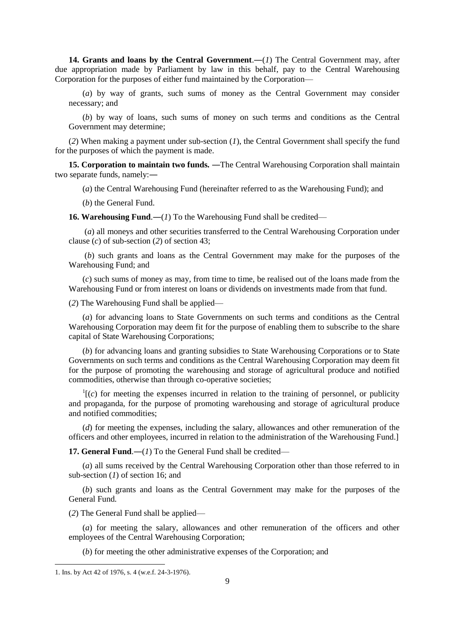14. Grants and loans by the Central Government.—(1) The Central Government may, after due appropriation made by Parliament by law in this behalf, pay to the Central Warehousing Corporation for the purposes of either fund maintained by the Corporation—

(*a*) by way of grants, such sums of money as the Central Government may consider necessary; and

(*b*) by way of loans, such sums of money on such terms and conditions as the Central Government may determine;

(*2*) When making a payment under sub-section (*1*), the Central Government shall specify the fund for the purposes of which the payment is made.

**15. Corporation to maintain two funds.** —The Central Warehousing Corporation shall maintain two separate funds, namely:―

(*a*) the Central Warehousing Fund (hereinafter referred to as the Warehousing Fund); and

(*b*) the General Fund.

**16. Warehousing Fund.**—(*1*) To the Warehousing Fund shall be credited—

(*a*) all moneys and other securities transferred to the Central Warehousing Corporation under clause (*c*) of sub-section (*2*) of section 43;

(*b*) such grants and loans as the Central Government may make for the purposes of the Warehousing Fund; and

(*c*) such sums of money as may, from time to time, be realised out of the loans made from the Warehousing Fund or from interest on loans or dividends on investments made from that fund.

(*2*) The Warehousing Fund shall be applied—

(*a*) for advancing loans to State Governments on such terms and conditions as the Central Warehousing Corporation may deem fit for the purpose of enabling them to subscribe to the share capital of State Warehousing Corporations;

(*b*) for advancing loans and granting subsidies to State Warehousing Corporations or to State Governments on such terms and conditions as the Central Warehousing Corporation may deem fit for the purpose of promoting the warehousing and storage of agricultural produce and notified commodities, otherwise than through co-operative societies;

 $\Gamma$ <sup>1</sup>[(*c*) for meeting the expenses incurred in relation to the training of personnel, or publicity and propaganda, for the purpose of promoting warehousing and storage of agricultural produce and notified commodities;

(*d*) for meeting the expenses, including the salary, allowances and other remuneration of the officers and other employees, incurred in relation to the administration of the Warehousing Fund.]

**17. General Fund.**—(*1*) To the General Fund shall be credited—

(*a*) all sums received by the Central Warehousing Corporation other than those referred to in sub-section (*1*) of section 16; and

(*b*) such grants and loans as the Central Government may make for the purposes of the General Fund.

(*2*) The General Fund shall be applied—

(*a*) for meeting the salary, allowances and other remuneration of the officers and other employees of the Central Warehousing Corporation;

(*b*) for meeting the other administrative expenses of the Corporation; and

 $\overline{a}$ 

<sup>1.</sup> Ins. by Act 42 of 1976, s. 4 (w.e.f. 24-3-1976).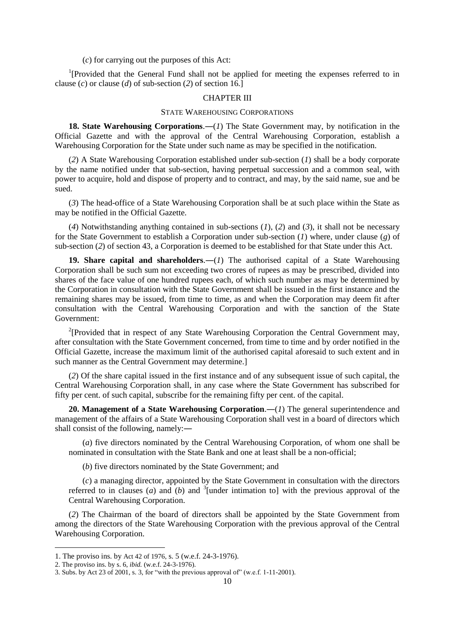(*c*) for carrying out the purposes of this Act:

<sup>1</sup>[Provided that the General Fund shall not be applied for meeting the expenses referred to in clause (*c*) or clause (*d*) of sub-section (*2*) of section 16.]

## CHAPTER III

#### STATE WAREHOUSING CORPORATIONS

**18. State Warehousing Corporations.—(1)** The State Government may, by notification in the Official Gazette and with the approval of the Central Warehousing Corporation, establish a Warehousing Corporation for the State under such name as may be specified in the notification.

(*2*) A State Warehousing Corporation established under sub-section (*1*) shall be a body corporate by the name notified under that sub-section, having perpetual succession and a common seal, with power to acquire, hold and dispose of property and to contract, and may, by the said name, sue and be sued.

(*3*) The head-office of a State Warehousing Corporation shall be at such place within the State as may be notified in the Official Gazette.

(*4*) Notwithstanding anything contained in sub-sections (*1*), (*2*) and (*3*), it shall not be necessary for the State Government to establish a Corporation under sub-section (*1*) where, under clause (*g*) of sub-section (*2*) of section 43, a Corporation is deemed to be established for that State under this Act.

**19. Share capital and shareholders.—(***1***)** The authorised capital of a State Warehousing Corporation shall be such sum not exceeding two crores of rupees as may be prescribed, divided into shares of the face value of one hundred rupees each, of which such number as may be determined by the Corporation in consultation with the State Government shall be issued in the first instance and the remaining shares may be issued, from time to time, as and when the Corporation may deem fit after consultation with the Central Warehousing Corporation and with the sanction of the State Government:

<sup>2</sup>[Provided that in respect of any State Warehousing Corporation the Central Government may, after consultation with the State Government concerned, from time to time and by order notified in the Official Gazette, increase the maximum limit of the authorised capital aforesaid to such extent and in such manner as the Central Government may determine.]

(*2*) Of the share capital issued in the first instance and of any subsequent issue of such capital, the Central Warehousing Corporation shall, in any case where the State Government has subscribed for fifty per cent. of such capital, subscribe for the remaining fifty per cent. of the capital.

**20. Management of a State Warehousing Corporation**.―(*1*) The general superintendence and management of the affairs of a State Warehousing Corporation shall vest in a board of directors which shall consist of the following, namely:―

(*a*) five directors nominated by the Central Warehousing Corporation, of whom one shall be nominated in consultation with the State Bank and one at least shall be a non-official;

(*b*) five directors nominated by the State Government; and

(*c*) a managing director, appointed by the State Government in consultation with the directors referred to in clauses (*a*) and  $(b)$  and  $\overline{3}$  [under intimation to] with the previous approval of the Central Warehousing Corporation.

(*2*) The Chairman of the board of directors shall be appointed by the State Government from among the directors of the State Warehousing Corporation with the previous approval of the Central Warehousing Corporation.

1

<sup>1.</sup> The proviso ins. by Act 42 of 1976, s. 5 (w.e.f. 24-3-1976).

<sup>2.</sup> The proviso ins. by s. 6, *ibid.* (w.e.f. 24-3-1976).

<sup>3.</sup> Subs. by Act 23 of 2001, s. 3, for "with the previous approval of" (w.e.f. 1-11-2001).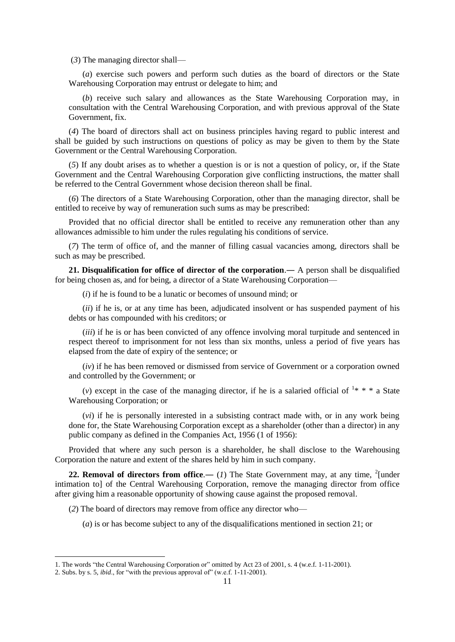(*3*) The managing director shall—

(*a*) exercise such powers and perform such duties as the board of directors or the State Warehousing Corporation may entrust or delegate to him; and

(*b*) receive such salary and allowances as the State Warehousing Corporation may, in consultation with the Central Warehousing Corporation, and with previous approval of the State Government, fix.

(*4*) The board of directors shall act on business principles having regard to public interest and shall be guided by such instructions on questions of policy as may be given to them by the State Government or the Central Warehousing Corporation.

(*5*) If any doubt arises as to whether a question is or is not a question of policy, or, if the State Government and the Central Warehousing Corporation give conflicting instructions, the matter shall be referred to the Central Government whose decision thereon shall be final.

(*6*) The directors of a State Warehousing Corporation, other than the managing director, shall be entitled to receive by way of remuneration such sums as may be prescribed:

Provided that no official director shall be entitled to receive any remuneration other than any allowances admissible to him under the rules regulating his conditions of service.

(*7*) The term of office of, and the manner of filling casual vacancies among, directors shall be such as may be prescribed.

**21. Disqualification for office of director of the corporation**.― A person shall be disqualified for being chosen as, and for being, a director of a State Warehousing Corporation—

(*i*) if he is found to be a lunatic or becomes of unsound mind; or

(*ii*) if he is, or at any time has been, adjudicated insolvent or has suspended payment of his debts or has compounded with his creditors; or

(*iii*) if he is or has been convicted of any offence involving moral turpitude and sentenced in respect thereof to imprisonment for not less than six months, unless a period of five years has elapsed from the date of expiry of the sentence; or

(*iv*) if he has been removed or dismissed from service of Government or a corporation owned and controlled by the Government; or

(*v*) except in the case of the managing director, if he is a salaried official of  $\frac{1*}{1*}$  a State Warehousing Corporation; or

(*vi*) if he is personally interested in a subsisting contract made with, or in any work being done for, the State Warehousing Corporation except as a shareholder (other than a director) in any public company as defined in the Companies Act, 1956 (1 of 1956):

Provided that where any such person is a shareholder, he shall disclose to the Warehousing Corporation the nature and extent of the shares held by him in such company.

**22. Removal of directors from office.**— (1) The State Government may, at any time,  $^{2}$ [under intimation to] of the Central Warehousing Corporation, remove the managing director from office after giving him a reasonable opportunity of showing cause against the proposed removal.

(*2*) The board of directors may remove from office any director who—

**.** 

(*a*) is or has become subject to any of the disqualifications mentioned in section 21; or

<sup>1.</sup> The words "the Central Warehousing Corporation or" omitted by Act 23 of 2001, s. 4 (w.e.f. 1-11-2001).

<sup>2.</sup> Subs. by s. 5, *ibid*., for "with the previous approval of" (w.e.f. 1-11-2001).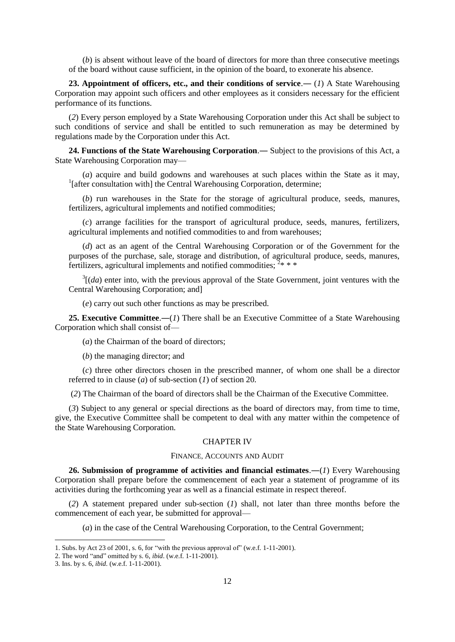(*b*) is absent without leave of the board of directors for more than three consecutive meetings of the board without cause sufficient, in the opinion of the board, to exonerate his absence.

**23. Appointment of officers, etc., and their conditions of service.— (***1***) A State Warehousing** Corporation may appoint such officers and other employees as it considers necessary for the efficient performance of its functions.

(*2*) Every person employed by a State Warehousing Corporation under this Act shall be subject to such conditions of service and shall be entitled to such remuneration as may be determined by regulations made by the Corporation under this Act.

**24. Functions of the State Warehousing Corporation**.― Subject to the provisions of this Act, a State Warehousing Corporation may—

(*a*) acquire and build godowns and warehouses at such places within the State as it may, <sup>1</sup>[after consultation with] the Central Warehousing Corporation, determine;

(*b*) run warehouses in the State for the storage of agricultural produce, seeds, manures, fertilizers, agricultural implements and notified commodities;

(*c*) arrange facilities for the transport of agricultural produce, seeds, manures, fertilizers, agricultural implements and notified commodities to and from warehouses;

(*d*) act as an agent of the Central Warehousing Corporation or of the Government for the purposes of the purchase, sale, storage and distribution, of agricultural produce, seeds, manures, fertilizers, agricultural implements and notified commodities;  $2$ \* \* \*

 $3[(da)$  enter into, with the previous approval of the State Government, joint ventures with the Central Warehousing Corporation; and]

(*e*) carry out such other functions as may be prescribed.

**25. Executive Committee**.―(*1*) There shall be an Executive Committee of a State Warehousing Corporation which shall consist of—

(*a*) the Chairman of the board of directors;

(*b*) the managing director; and

(*c*) three other directors chosen in the prescribed manner, of whom one shall be a director referred to in clause (*a*) of sub-section (*1*) of section 20.

(*2*) The Chairman of the board of directors shall be the Chairman of the Executive Committee.

(*3*) Subject to any general or special directions as the board of directors may, from time to time, give, the Executive Committee shall be competent to deal with any matter within the competence of the State Warehousing Corporation.

#### CHAPTER IV

#### FINANCE, ACCOUNTS AND AUDIT

**26. Submission of programme of activities and financial estimates**.―(*1*) Every Warehousing Corporation shall prepare before the commencement of each year a statement of programme of its activities during the forthcoming year as well as a financial estimate in respect thereof.

(*2*) A statement prepared under sub-section (*1*) shall, not later than three months before the commencement of each year, be submitted for approval—

(*a*) in the case of the Central Warehousing Corporation, to the Central Government;

<sup>1.</sup> Subs. by Act 23 of 2001, s. 6, for "with the previous approval of" (w.e.f. 1-11-2001).

<sup>2.</sup> The word "and" omitted by s. 6, *ibid*. (w.e.f. 1-11-2001).

<sup>3.</sup> Ins. by s. 6, *ibid*. (w.e.f. 1-11-2001).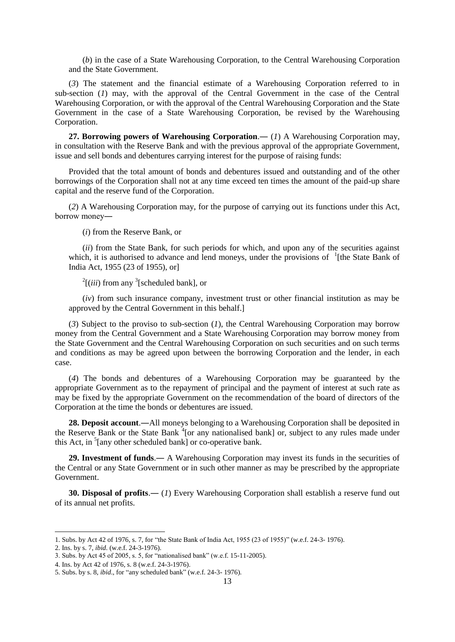(*b*) in the case of a State Warehousing Corporation, to the Central Warehousing Corporation and the State Government.

(*3*) The statement and the financial estimate of a Warehousing Corporation referred to in sub-section (*1*) may, with the approval of the Central Government in the case of the Central Warehousing Corporation, or with the approval of the Central Warehousing Corporation and the State Government in the case of a State Warehousing Corporation, be revised by the Warehousing Corporation.

**27. Borrowing powers of Warehousing Corporation**.― (*1*) A Warehousing Corporation may, in consultation with the Reserve Bank and with the previous approval of the appropriate Government, issue and sell bonds and debentures carrying interest for the purpose of raising funds:

Provided that the total amount of bonds and debentures issued and outstanding and of the other borrowings of the Corporation shall not at any time exceed ten times the amount of the paid-up share capital and the reserve fund of the Corporation.

(*2*) A Warehousing Corporation may, for the purpose of carrying out its functions under this Act, borrow money―

(*i*) from the Reserve Bank, or

(*ii*) from the State Bank, for such periods for which, and upon any of the securities against which, it is authorised to advance and lend moneys, under the provisions of  $\,1$ [the State Bank of India Act, 1955 (23 of 1955), or]

 $2$ [(*iii*) from any <sup>3</sup>[scheduled bank], or

(*iv*) from such insurance company, investment trust or other financial institution as may be approved by the Central Government in this behalf.]

(*3*) Subject to the proviso to sub-section (*1*), the Central Warehousing Corporation may borrow money from the Central Government and a State Warehousing Corporation may borrow money from the State Government and the Central Warehousing Corporation on such securities and on such terms and conditions as may be agreed upon between the borrowing Corporation and the lender, in each case.

(*4*) The bonds and debentures of a Warehousing Corporation may be guaranteed by the appropriate Government as to the repayment of principal and the payment of interest at such rate as may be fixed by the appropriate Government on the recommendation of the board of directors of the Corporation at the time the bonds or debentures are issued.

**28. Deposit account**.―All moneys belonging to a Warehousing Corporation shall be deposited in the Reserve Bank or the State Bank <sup>4</sup>[or any nationalised bank] or, subject to any rules made under this Act, in <sup>5</sup>[any other scheduled bank] or co-operative bank.

**29. Investment of funds**.― A Warehousing Corporation may invest its funds in the securities of the Central or any State Government or in such other manner as may be prescribed by the appropriate Government.

**30. Disposal of profits**.― (*1*) Every Warehousing Corporation shall establish a reserve fund out of its annual net profits.

1

<sup>1.</sup> Subs. by Act 42 of 1976, s. 7, for "the State Bank of India Act, 1955 (23 of 1955)" (w.e.f. 24-3- 1976).

<sup>2.</sup> Ins. by s. 7, *ibid*. (w.e.f. 24-3-1976).

<sup>3.</sup> Subs. by Act 45 of 2005, s. 5, for "nationalised bank" (w.e.f. 15-11-2005).

<sup>4.</sup> Ins. by Act 42 of 1976, s. 8 (w.e.f. 24-3-1976).

<sup>5.</sup> Subs. by s. 8, *ibid*., for "any scheduled bank" (w.e.f. 24-3- 1976).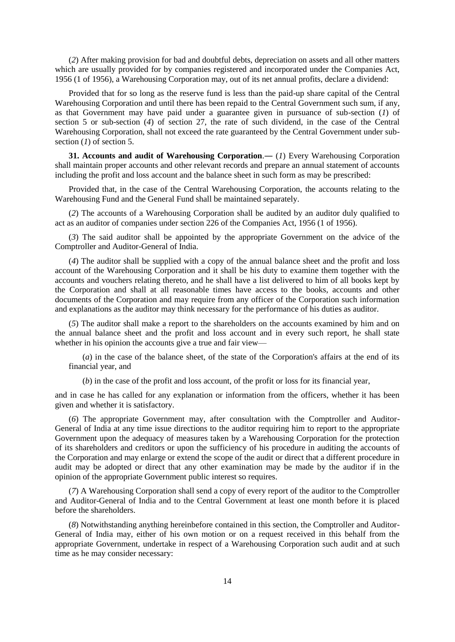(*2*) After making provision for bad and doubtful debts, depreciation on assets and all other matters which are usually provided for by companies registered and incorporated under the Companies Act, 1956 (1 of 1956), a Warehousing Corporation may, out of its net annual profits, declare a dividend:

Provided that for so long as the reserve fund is less than the paid-up share capital of the Central Warehousing Corporation and until there has been repaid to the Central Government such sum, if any, as that Government may have paid under a guarantee given in pursuance of sub-section (*1*) of section 5 or sub-section (*4*) of section 27, the rate of such dividend, in the case of the Central Warehousing Corporation, shall not exceed the rate guaranteed by the Central Government under subsection (*1*) of section 5.

**31. Accounts and audit of Warehousing Corporation**.― (*1*) Every Warehousing Corporation shall maintain proper accounts and other relevant records and prepare an annual statement of accounts including the profit and loss account and the balance sheet in such form as may be prescribed:

Provided that, in the case of the Central Warehousing Corporation, the accounts relating to the Warehousing Fund and the General Fund shall be maintained separately.

(*2*) The accounts of a Warehousing Corporation shall be audited by an auditor duly qualified to act as an auditor of companies under section 226 of the Companies Act, 1956 (1 of 1956).

(*3*) The said auditor shall be appointed by the appropriate Government on the advice of the Comptroller and Auditor-General of India.

(*4*) The auditor shall be supplied with a copy of the annual balance sheet and the profit and loss account of the Warehousing Corporation and it shall be his duty to examine them together with the accounts and vouchers relating thereto, and he shall have a list delivered to him of all books kept by the Corporation and shall at all reasonable times have access to the books, accounts and other documents of the Corporation and may require from any officer of the Corporation such information and explanations as the auditor may think necessary for the performance of his duties as auditor.

(*5*) The auditor shall make a report to the shareholders on the accounts examined by him and on the annual balance sheet and the profit and loss account and in every such report, he shall state whether in his opinion the accounts give a true and fair view—

(*a*) in the case of the balance sheet, of the state of the Corporation's affairs at the end of its financial year, and

(*b*) in the case of the profit and loss account, of the profit or loss for its financial year,

and in case he has called for any explanation or information from the officers, whether it has been given and whether it is satisfactory.

(*6*) The appropriate Government may, after consultation with the Comptroller and Auditor-General of India at any time issue directions to the auditor requiring him to report to the appropriate Government upon the adequacy of measures taken by a Warehousing Corporation for the protection of its shareholders and creditors or upon the sufficiency of his procedure in auditing the accounts of the Corporation and may enlarge or extend the scope of the audit or direct that a different procedure in audit may be adopted or direct that any other examination may be made by the auditor if in the opinion of the appropriate Government public interest so requires.

(*7*) A Warehousing Corporation shall send a copy of every report of the auditor to the Comptroller and Auditor-General of India and to the Central Government at least one month before it is placed before the shareholders.

(*8*) Notwithstanding anything hereinbefore contained in this section, the Comptroller and Auditor-General of India may, either of his own motion or on a request received in this behalf from the appropriate Government, undertake in respect of a Warehousing Corporation such audit and at such time as he may consider necessary: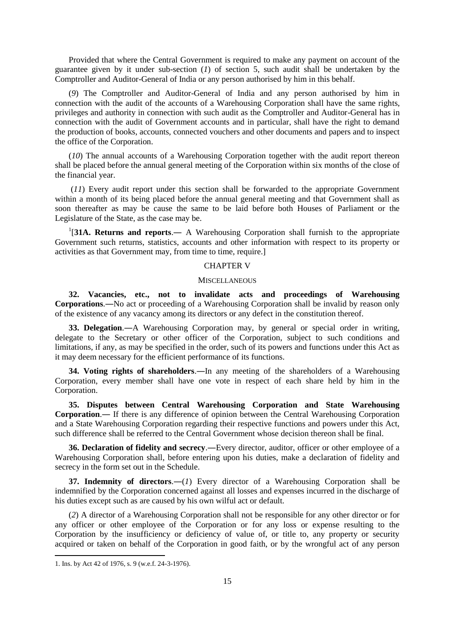Provided that where the Central Government is required to make any payment on account of the guarantee given by it under sub-section (*1*) of section 5, such audit shall be undertaken by the Comptroller and Auditor-General of India or any person authorised by him in this behalf.

(*9*) The Comptroller and Auditor-General of India and any person authorised by him in connection with the audit of the accounts of a Warehousing Corporation shall have the same rights, privileges and authority in connection with such audit as the Comptroller and Auditor-General has in connection with the audit of Government accounts and in particular, shall have the right to demand the production of books, accounts, connected vouchers and other documents and papers and to inspect the office of the Corporation.

(*10*) The annual accounts of a Warehousing Corporation together with the audit report thereon shall be placed before the annual general meeting of the Corporation within six months of the close of the financial year.

(*11*) Every audit report under this section shall be forwarded to the appropriate Government within a month of its being placed before the annual general meeting and that Government shall as soon thereafter as may be cause the same to be laid before both Houses of Parliament or the Legislature of the State, as the case may be.

<sup>1</sup>[31A. Returns and reports.— A Warehousing Corporation shall furnish to the appropriate Government such returns, statistics, accounts and other information with respect to its property or activities as that Government may, from time to time, require.]

#### CHAPTER V

#### **MISCELLANEOUS**

**32. Vacancies, etc., not to invalidate acts and proceedings of Warehousing Corporations**.―No act or proceeding of a Warehousing Corporation shall be invalid by reason only of the existence of any vacancy among its directors or any defect in the constitution thereof.

**33. Delegation**.―A Warehousing Corporation may, by general or special order in writing, delegate to the Secretary or other officer of the Corporation, subject to such conditions and limitations, if any, as may be specified in the order, such of its powers and functions under this Act as it may deem necessary for the efficient performance of its functions.

**34. Voting rights of shareholders**.―In any meeting of the shareholders of a Warehousing Corporation, every member shall have one vote in respect of each share held by him in the Corporation.

**35. Disputes between Central Warehousing Corporation and State Warehousing Corporation**.― If there is any difference of opinion between the Central Warehousing Corporation and a State Warehousing Corporation regarding their respective functions and powers under this Act, such difference shall be referred to the Central Government whose decision thereon shall be final.

**36. Declaration of fidelity and secrecy**.―Every director, auditor, officer or other employee of a Warehousing Corporation shall, before entering upon his duties, make a declaration of fidelity and secrecy in the form set out in the Schedule.

**37. Indemnity of directors**.―(*1*) Every director of a Warehousing Corporation shall be indemnified by the Corporation concerned against all losses and expenses incurred in the discharge of his duties except such as are caused by his own wilful act or default.

(*2*) A director of a Warehousing Corporation shall not be responsible for any other director or for any officer or other employee of the Corporation or for any loss or expense resulting to the Corporation by the insufficiency or deficiency of value of, or title to, any property or security acquired or taken on behalf of the Corporation in good faith, or by the wrongful act of any person

<sup>1.</sup> Ins. by Act 42 of 1976, s. 9 (w.e.f. 24-3-1976).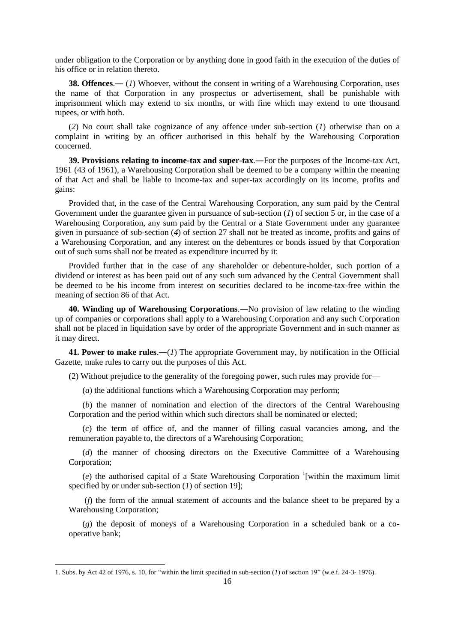under obligation to the Corporation or by anything done in good faith in the execution of the duties of his office or in relation thereto.

**38. Offences.**— (*1*) Whoever, without the consent in writing of a Warehousing Corporation, uses the name of that Corporation in any prospectus or advertisement, shall be punishable with imprisonment which may extend to six months, or with fine which may extend to one thousand rupees, or with both.

(*2*) No court shall take cognizance of any offence under sub-section (*1*) otherwise than on a complaint in writing by an officer authorised in this behalf by the Warehousing Corporation concerned.

**39. Provisions relating to income-tax and super-tax**.―For the purposes of the Income-tax Act, 1961 (43 of 1961), a Warehousing Corporation shall be deemed to be a company within the meaning of that Act and shall be liable to income-tax and super-tax accordingly on its income, profits and gains:

Provided that, in the case of the Central Warehousing Corporation, any sum paid by the Central Government under the guarantee given in pursuance of sub-section  $(1)$  of section 5 or, in the case of a Warehousing Corporation, any sum paid by the Central or a State Government under any guarantee given in pursuance of sub-section (*4*) of section 27 shall not be treated as income, profits and gains of a Warehousing Corporation, and any interest on the debentures or bonds issued by that Corporation out of such sums shall not be treated as expenditure incurred by it:

Provided further that in the case of any shareholder or debenture-holder, such portion of a dividend or interest as has been paid out of any such sum advanced by the Central Government shall be deemed to be his income from interest on securities declared to be income-tax-free within the meaning of section 86 of that Act.

**40. Winding up of Warehousing Corporations**.―No provision of law relating to the winding up of companies or corporations shall apply to a Warehousing Corporation and any such Corporation shall not be placed in liquidation save by order of the appropriate Government and in such manner as it may direct.

**41. Power to make rules**.―(*1*) The appropriate Government may, by notification in the Official Gazette, make rules to carry out the purposes of this Act.

(2) Without prejudice to the generality of the foregoing power, such rules may provide for—

(*a*) the additional functions which a Warehousing Corporation may perform;

(*b*) the manner of nomination and election of the directors of the Central Warehousing Corporation and the period within which such directors shall be nominated or elected;

(*c*) the term of office of, and the manner of filling casual vacancies among, and the remuneration payable to, the directors of a Warehousing Corporation;

(*d*) the manner of choosing directors on the Executive Committee of a Warehousing Corporation;

 $(e)$  the authorised capital of a State Warehousing Corporation<sup>1</sup>[within the maximum limit specified by or under sub-section (*1*) of section 19];

(*f*) the form of the annual statement of accounts and the balance sheet to be prepared by a Warehousing Corporation;

(*g*) the deposit of moneys of a Warehousing Corporation in a scheduled bank or a cooperative bank;

 $\overline{a}$ 

<sup>1.</sup> Subs. by Act 42 of 1976, s. 10, for "within the limit specified in sub-section (*1*) of section 19" (w.e.f. 24-3- 1976).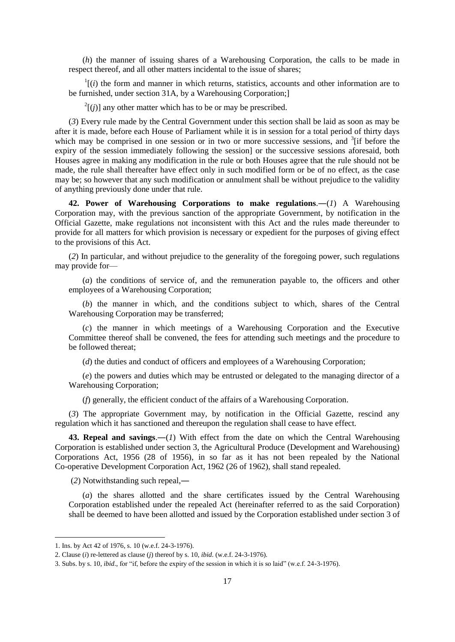(*h*) the manner of issuing shares of a Warehousing Corporation, the calls to be made in respect thereof, and all other matters incidental to the issue of shares;

 $\frac{1}{i}$  (*i*) the form and manner in which returns, statistics, accounts and other information are to be furnished, under section 31A, by a Warehousing Corporation;]

 $2^2$ [(*j*)] any other matter which has to be or may be prescribed.

(*3*) Every rule made by the Central Government under this section shall be laid as soon as may be after it is made, before each House of Parliament while it is in session for a total period of thirty days which may be comprised in one session or in two or more successive sessions, and  $3$ [if before the expiry of the session immediately following the session] or the successive sessions aforesaid, both Houses agree in making any modification in the rule or both Houses agree that the rule should not be made, the rule shall thereafter have effect only in such modified form or be of no effect, as the case may be; so however that any such modification or annulment shall be without prejudice to the validity of anything previously done under that rule.

**42. Power of Warehousing Corporations to make regulations**.―(*1*) A Warehousing Corporation may, with the previous sanction of the appropriate Government, by notification in the Official Gazette, make regulations not inconsistent with this Act and the rules made thereunder to provide for all matters for which provision is necessary or expedient for the purposes of giving effect to the provisions of this Act.

(*2*) In particular, and without prejudice to the generality of the foregoing power, such regulations may provide for—

(*a*) the conditions of service of, and the remuneration payable to, the officers and other employees of a Warehousing Corporation;

(*b*) the manner in which, and the conditions subject to which, shares of the Central Warehousing Corporation may be transferred;

(*c*) the manner in which meetings of a Warehousing Corporation and the Executive Committee thereof shall be convened, the fees for attending such meetings and the procedure to be followed thereat;

(*d*) the duties and conduct of officers and employees of a Warehousing Corporation;

(*e*) the powers and duties which may be entrusted or delegated to the managing director of a Warehousing Corporation;

(*f*) generally, the efficient conduct of the affairs of a Warehousing Corporation.

(*3*) The appropriate Government may, by notification in the Official Gazette, rescind any regulation which it has sanctioned and thereupon the regulation shall cease to have effect.

**43. Repeal and savings**.―(*1*) With effect from the date on which the Central Warehousing Corporation is established under section 3, the Agricultural Produce (Development and Warehousing) Corporations Act, 1956 (28 of 1956), in so far as it has not been repealed by the National Co-operative Development Corporation Act, 1962 (26 of 1962), shall stand repealed.

(*2*) Notwithstanding such repeal,―

(*a*) the shares allotted and the share certificates issued by the Central Warehousing Corporation established under the repealed Act (hereinafter referred to as the said Corporation) shall be deemed to have been allotted and issued by the Corporation established under section 3 of

1

<sup>1.</sup> Ins. by Act 42 of 1976, s. 10 (w.e.f. 24-3-1976).

<sup>2.</sup> Clause (*i*) re-lettered as clause (*j*) thereof by s. 10, *ibid*. (w.e.f. 24-3-1976).

<sup>3.</sup> Subs. by s. 10, *ibid*., for "if, before the expiry of the session in which it is so laid" (w.e.f. 24-3-1976).